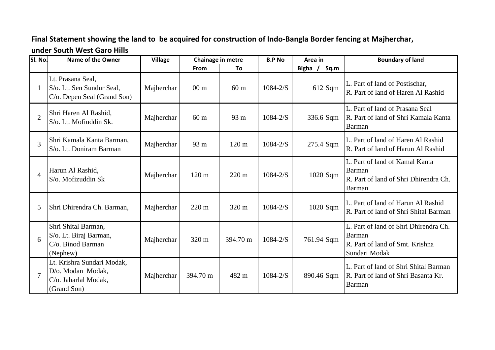## **Final Statement showing the land to be acquired for construction of Indo-Bangla Border fencing at Majherchar, under South West Garo Hills**

| SI. No.        | <b>Name of the Owner</b>                                                               | <b>Village</b> | Chainage in metre |                 | <b>B.P No</b> | Area in         | <b>Boundary of land</b>                                                                             |
|----------------|----------------------------------------------------------------------------------------|----------------|-------------------|-----------------|---------------|-----------------|-----------------------------------------------------------------------------------------------------|
|                |                                                                                        |                | From              | To              |               | Bigha /<br>Sq.m |                                                                                                     |
|                | Lt. Prasana Seal,<br>S/o. Lt. Sen Sundur Seal,<br>C/o. Depen Seal (Grand Son)          | Majherchar     | 00 <sub>m</sub>   | 60 <sub>m</sub> | $1084 - 2/S$  | 612 Sqm         | L. Part of land of Postischar,<br>R. Part of land of Haren Al Rashid                                |
| $\overline{2}$ | Shri Haren Al Rashid,<br>S/o. Lt. Mofiuddin Sk.                                        | Majherchar     | 60 <sub>m</sub>   | 93 m            | $1084 - 2/S$  | 336.6 Sqm       | L. Part of land of Prasana Seal<br>R. Part of land of Shri Kamala Kanta<br>Barman                   |
| 3              | Shri Kamala Kanta Barman,<br>S/o. Lt. Doniram Barman                                   | Majherchar     | 93 m              | 120 m           | $1084 - 2/S$  | 275.4 Sqm       | L. Part of land of Haren Al Rashid<br>R. Part of land of Harun Al Rashid                            |
| $\overline{4}$ | Harun Al Rashid,<br>S/o. Mofizuddin Sk                                                 | Majherchar     | 120 <sub>m</sub>  | 220 m           | $1084 - 2/S$  | 1020 Sqm        | L. Part of land of Kamal Kanta<br>Barman<br>R. Part of land of Shri Dhirendra Ch.<br>Barman         |
| 5              | Shri Dhirendra Ch. Barman,                                                             | Majherchar     | $220 \text{ m}$   | 320 m           | $1084 - 2/S$  | 1020 Sqm        | L. Part of land of Harun Al Rashid<br>R. Part of land of Shri Shital Barman                         |
| 6              | Shri Shital Barman,<br>S/o. Lt. Biraj Barman,<br>C/o. Binod Barman<br>(Nephew)         | Majherchar     | 320 m             | 394.70 m        | $1084 - 2/S$  | 761.94 Sqm      | L. Part of land of Shri Dhirendra Ch.<br>Barman<br>R. Part of land of Smt. Krishna<br>Sundari Modak |
| $\overline{7}$ | Lt. Krishra Sundari Modak,<br>D/o. Modan Modak,<br>C/o. Jaharlal Modak,<br>(Grand Son) | Majherchar     | 394.70 m          | 482 m           | $1084 - 2/S$  | 890.46 Sqm      | L. Part of land of Shri Shital Barman<br>R. Part of land of Shri Basanta Kr.<br>Barman              |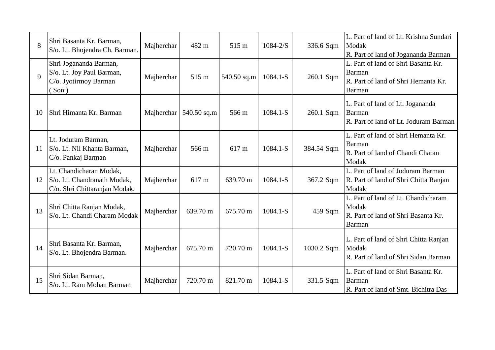| 8           | Shri Basanta Kr. Barman,<br>S/o. Lt. Bhojendra Ch. Barman.                                    | Majherchar | 482 m       | 515 m       | $1084 - 2/S$ | 336.6 Sqm  | L. Part of land of Lt. Krishna Sundari<br>Modak<br>R. Part of land of Jogananda Barman                |
|-------------|-----------------------------------------------------------------------------------------------|------------|-------------|-------------|--------------|------------|-------------------------------------------------------------------------------------------------------|
| $\mathbf Q$ | Shri Jogananda Barman,<br>S/o. Lt. Joy Paul Barman,<br>C/o. Jyotirmoy Barman<br>$\sigma(Son)$ | Majherchar | 515 m       | 540.50 sq.m | $1084.1-S$   | 260.1 Sqm  | L. Part of land of Shri Basanta Kr.<br>Barman<br>R. Part of land of Shri Hemanta Kr.<br><b>Barman</b> |
| 10          | Shri Himanta Kr. Barman                                                                       | Majherchar | 540.50 sq.m | 566 m       | 1084.1-S     | 260.1 Sqm  | L. Part of land of Lt. Jogananda<br>Barman<br>R. Part of land of Lt. Joduram Barman                   |
| 11          | Lt. Joduram Barman,<br>S/o. Lt. Nil Khanta Barman,<br>C/o. Pankaj Barman                      | Majherchar | 566 m       | 617 m       | 1084.1-S     | 384.54 Sqm | L. Part of land of Shri Hemanta Kr.<br>Barman<br>R. Part of land of Chandi Charan<br>Modak            |
| 12          | Lt. Chandicharan Modak,<br>S/o. Lt. Chandranath Modak,<br>C/o. Shri Chittaranjan Modak.       | Majherchar | 617 m       | 639.70 m    | 1084.1-S     | 367.2 Sqm  | L. Part of land of Joduram Barman<br>R. Part of land of Shri Chitta Ranjan<br>Modak                   |
| 13          | Shri Chitta Ranjan Modak,<br>S/o. Lt. Chandi Charam Modak                                     | Majherchar | 639.70 m    | 675.70 m    | $1084.1 - S$ | 459 Sqm    | L. Part of land of Lt. Chandicharam<br>Modak<br>R. Part of land of Shri Basanta Kr.<br>Barman         |
| 14          | Shri Basanta Kr. Barman,<br>S/o. Lt. Bhojendra Barman.                                        | Majherchar | 675.70 m    | 720.70 m    | $1084.1 - S$ | 1030.2 Sqm | L. Part of land of Shri Chitta Ranjan<br>Modak<br>R. Part of land of Shri Sidan Barman                |
| 15          | Shri Sidan Barman,<br>S/o. Lt. Ram Mohan Barman                                               | Majherchar | 720.70 m    | 821.70 m    | 1084.1-S     | 331.5 Sqm  | L. Part of land of Shri Basanta Kr.<br>Barman<br>R. Part of land of Smt. Bichitra Das                 |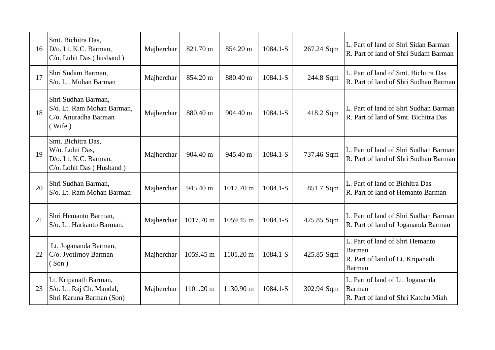| 16 | Smt. Bichitra Das,<br>D/o. Lt. K.C. Barman,<br>C/o. Luhit Das (husband)                    | Majherchar | 821.70 m  | 854.20 m           | $1084.1 - S$ | 267.24 Sqm | L. Part of land of Shri Sidan Barman<br>R. Part of land of Shri Sudam Barman            |
|----|--------------------------------------------------------------------------------------------|------------|-----------|--------------------|--------------|------------|-----------------------------------------------------------------------------------------|
| 17 | Shri Sudam Barman,<br>S/o. Lt. Mohan Barman                                                | Majherchar | 854.20 m  | 880.40 m           | 1084.1-S     | 244.8 Sqm  | L. Part of land of Smt. Bichitra Das<br>R. Part of land of Shri Sudhan Barman           |
| 18 | Shri Sudhan Barman,<br>S/o. Lt. Ram Mohan Barman,<br>C/o. Anuradha Barman<br>( Wife )      | Majherchar | 880.40 m  | $904.40 \text{ m}$ | $1084.1 - S$ | 418.2 Sqm  | L. Part of land of Shri Sudhan Barman<br>R. Part of land of Smt. Bichitra Das           |
| 19 | Smt. Bichitra Das,<br>W/o. Lohit Das,<br>D/o. Lt. K.C. Barman,<br>C/o. Lohit Das (Husband) | Majherchar | 904.40 m  | 945.40 m           | 1084.1-S     | 737.46 Sqm | L. Part of land of Shri Sudhan Barman<br>R. Part of land of Shri Sudhan Barman          |
| 20 | Shri Sudhan Barman,<br>S/o. Lt. Ram Mohan Barman                                           | Majherchar | 945.40 m  | 1017.70 m          | 1084.1-S     | 851.7 Sqm  | L. Part of land of Bichitra Das<br>R. Part of land of Hemanto Barman                    |
| 21 | Shri Hemanto Barman,<br>S/o. Lt. Harkanto Barman.                                          | Majherchar | 1017.70 m | 1059.45 m          | 1084.1-S     | 425.85 Sqm | L. Part of land of Shri Sudhan Barman<br>R. Part of land of Jogananda Barman            |
| 22 | Lt. Jogananda Barman,<br>C/o. Jyotirnoy Barman<br>Son)                                     | Majherchar | 1059.45 m | 1101.20 m          | 1084.1-S     | 425.85 Sqm | L. Part of land of Shri Hemanto<br>Barman<br>R. Part of land of Lt. Kripanath<br>Barman |
| 23 | Lt. Kripanath Barman,<br>S/o. Lt. Raj Ch. Mandal,<br>Shri Karuna Barman (Son)              | Majherchar | 1101.20 m | 1130.90 m          | 1084.1-S     | 302.94 Sqm | L. Part of land of Lt. Jogananda<br>Barman<br>R. Part of land of Shri Katchu Miah       |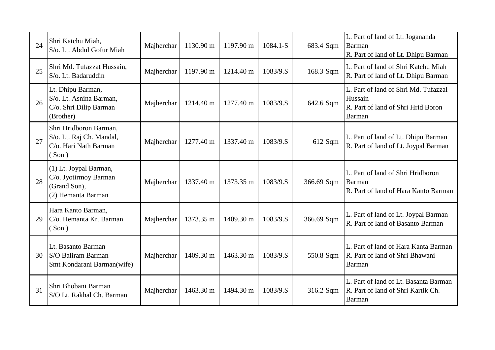| 24 | Shri Katchu Miah,<br>S/o. Lt. Abdul Gofur Miah                                        | Majherchar | 1130.90 m | 1197.90 m | 1084.1-S | 683.4 Sqm  | L. Part of land of Lt. Jogananda<br>Barman<br>R. Part of land of Lt. Dhipu Barman               |
|----|---------------------------------------------------------------------------------------|------------|-----------|-----------|----------|------------|-------------------------------------------------------------------------------------------------|
| 25 | Shri Md. Tufazzat Hussain,<br>S/o. Lt. Badaruddin                                     | Majherchar | 1197.90 m | 1214.40 m | 1083/9.S | 168.3 Sqm  | L. Part of land of Shri Katchu Miah<br>R. Part of land of Lt. Dhipu Barman                      |
| 26 | Lt. Dhipu Barman,<br>S/o. Lt. Asnina Barman,<br>C/o. Shri Dilip Barman<br>(Brother)   | Majherchar | 1214.40 m | 1277.40 m | 1083/9.S | 642.6 Sqm  | L. Part of land of Shri Md. Tufazzal<br>Hussain<br>R. Part of land of Shri Hrid Boron<br>Barman |
| 27 | Shri Hridboron Barman,<br>S/o. Lt. Raj Ch. Mandal,<br>C/o. Hari Nath Barman<br>(Son)  | Majherchar | 1277.40 m | 1337.40 m | 1083/9.S | 612 Sqm    | L. Part of land of Lt. Dhipu Barman<br>R. Part of land of Lt. Joypal Barman                     |
| 28 | (1) Lt. Joypal Barman,<br>C/o. Jyotirmoy Barman<br>(Grand Son),<br>(2) Hemanta Barman | Majherchar | 1337.40 m | 1373.35 m | 1083/9.S | 366.69 Sqm | L. Part of land of Shri Hridboron<br>Barman<br>R. Part of land of Hara Kanto Barman             |
| 29 | Hara Kanto Barman,<br>C/o. Hemanta Kr. Barman<br>(Son)                                | Majherchar | 1373.35 m | 1409.30 m | 1083/9.S | 366.69 Sqm | L. Part of land of Lt. Joypal Barman<br>R. Part of land of Basanto Barman                       |
| 30 | Lt. Basanto Barman<br>S/O Baliram Barman<br>Smt Kondarani Barman(wife)                | Majherchar | 1409.30 m | 1463.30 m | 1083/9.S | 550.8 Sqm  | L. Part of land of Hara Kanta Barman<br>R. Part of land of Shri Bhawani<br><b>Barman</b>        |
| 31 | Shri Bhobani Barman<br>S/O Lt. Rakhal Ch. Barman                                      | Majherchar | 1463.30 m | 1494.30 m | 1083/9.S | 316.2 Sqm  | L. Part of land of Lt. Basanta Barman<br>R. Part of land of Shri Kartik Ch.<br>Barman           |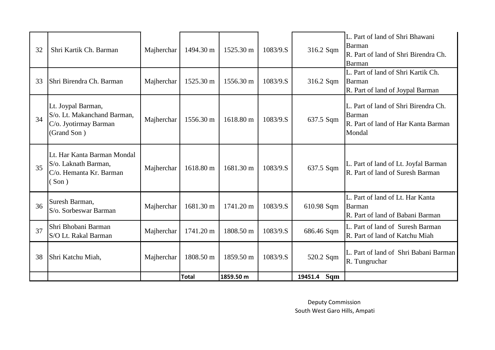| 32 | Shri Kartik Ch. Barman                                                                    | Majherchar | 1494.30 m    | 1525.30 m | 1083/9.S | 316.2 Sqm      | L. Part of land of Shri Bhawani<br><b>Barman</b><br>R. Part of land of Shri Birendra Ch.<br>Barman |
|----|-------------------------------------------------------------------------------------------|------------|--------------|-----------|----------|----------------|----------------------------------------------------------------------------------------------------|
| 33 | Shri Birendra Ch. Barman                                                                  | Majherchar | 1525.30 m    | 1556.30 m | 1083/9.S | 316.2 Sqm      | L. Part of land of Shri Kartik Ch.<br>Barman<br>R. Part of land of Joypal Barman                   |
| 34 | Lt. Joypal Barman,<br>S/o. Lt. Makanchand Barman,<br>C/o. Jyotirmay Barman<br>(Grand Son) | Majherchar | 1556.30 m    | 1618.80 m | 1083/9.S | 637.5 Sqm      | L. Part of land of Shri Birendra Ch.<br>Barman<br>R. Part of land of Har Kanta Barman<br>Mondal    |
| 35 | Lt. Har Kanta Barman Mondal<br>S/o. Laknath Barman,<br>C/o. Hemanta Kr. Barman<br>Son)    | Majherchar | 1618.80 m    | 1681.30 m | 1083/9.S | 637.5 Sqm      | L. Part of land of Lt. Joyfal Barman<br>R. Part of land of Suresh Barman                           |
| 36 | Suresh Barman,<br>S/o. Sorbeswar Barman                                                   | Majherchar | 1681.30 m    | 1741.20 m | 1083/9.S | 610.98 Sqm     | L. Part of land of Lt. Har Kanta<br><b>Barman</b><br>R. Part of land of Babani Barman              |
| 37 | Shri Bhobani Barman<br>S/O Lt. Rakal Barman                                               | Majherchar | 1741.20 m    | 1808.50 m | 1083/9.S | 686.46 Sqm     | L. Part of land of Suresh Barman<br>R. Part of land of Katchu Miah                                 |
| 38 | Shri Katchu Miah,                                                                         | Majherchar | 1808.50 m    | 1859.50 m | 1083/9.S | 520.2 Sqm      | L. Part of land of Shri Babani Barman<br>R. Tungruchar                                             |
|    |                                                                                           |            | <b>Total</b> | 1859.50 m |          | Sqm<br>19451.4 |                                                                                                    |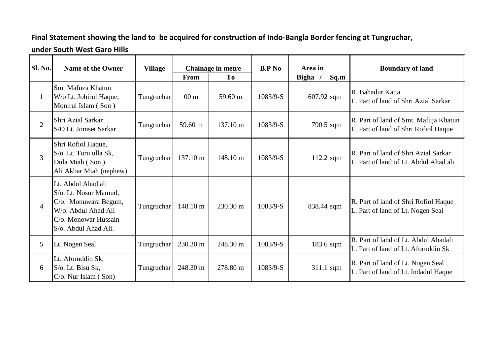## **Final Statement showing the land to be acquired for construction of Indo-Bangla Border fencing at Tungruchar,**

## **under South West Garo Hills**

| Sl. No.        | <b>Name of the Owner</b>                                                                                                                   | <b>Village</b> |                 | Chainage in metre  | <b>B.P</b> No | Area in              | <b>Boundary of land</b>                                                       |
|----------------|--------------------------------------------------------------------------------------------------------------------------------------------|----------------|-----------------|--------------------|---------------|----------------------|-------------------------------------------------------------------------------|
|                |                                                                                                                                            |                | From            | To                 |               | <b>Bigha</b><br>Sq.m |                                                                               |
| $\mathbf{1}$   | <b>Smt Mafuza Khatun</b><br>W/o Lt. Johirul Haque,<br>Monirul Islam (Son)                                                                  | Tungruchar     | 00 <sub>m</sub> | 59.60 m            | $1083/9-S$    | 607.92 sqm           | R. Bahadur Katta<br>L. Part of land of Shri Azial Sarkar                      |
| $\overline{2}$ | <b>Shri Azial Sarkar</b><br>S/O Lt. Jomset Sarkar                                                                                          | Tungruchar     | 59.60 m         | 137.10 m           | $1083/9-S$    | 790.5 sqm            | R. Part of land of Smt. Mafuja Khatun<br>L. Part of land of Shri Rofiol Haque |
| 3              | Shri Rofiol Haque,<br>S/o. Lt. Toru ulla Sk,<br>Dula Miah (Son)<br>Ali Akbar Miah (nephew)                                                 | Tungruchar     | 137.10 m        | 148.10 m           | $1083/9-S$    | $112.2$ sqm          | R. Part of land of Shri Azial Sarkar<br>L. Part of land of Lt. Abdul Ahad ali |
| $\overline{4}$ | Lt. Abdul Ahad ali<br>S/o. Lt. Nosur Mamud,<br>C/o. Monuwara Begum,<br>W/o. Abdul Ahad Ali<br>C/o. Monowar Hussain<br>S/o. Abdul Ahad Ali. | Tungruchar     | 148.10 m        | $230.30 \text{ m}$ | $1083/9-S$    | 838.44 sqm           | R. Part of land of Shri Rofiol Haque<br>L. Part of land of Lt. Nogen Seal     |
| 5              | Lt. Nogen Seal                                                                                                                             | Tungruchar     | 230.30 m        | 248.30 m           | 1083/9-S      | 183.6 sqm            | R. Part of land of Lt. Abdul Ahadali<br>L. Part of land of Lt. Aforuddin Sk   |
| 6              | Lt. Aforuddin Sk,<br>S/o. Lt. Bisu Sk,<br>$C/O$ . Nur Islam (Son)                                                                          | Tungruchar     | 248.30 m        | 278.80 m           | $1083/9-S$    | 311.1 sqm            | R. Part of land of Lt. Nogen Seal<br>L. Part of land of Lt. Indadul Haque     |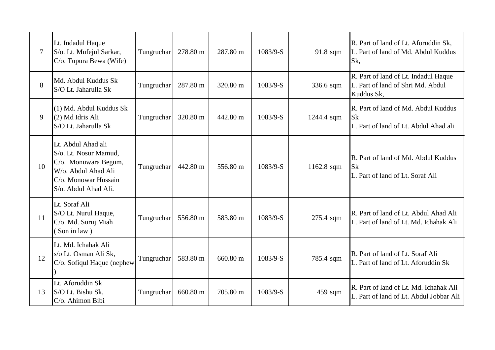| $\overline{7}$ | Lt. Indadul Haque<br>S/o. Lt. Mufejul Sarkar,<br>C/o. Tupura Bewa (Wife)                                                                   | Tungruchar | 278.80 m | 287.80 m | $1083/9-S$ | 91.8 sqm   | R. Part of land of Lt. Aforuddin Sk,<br>L. Part of land of Md. Abdul Kuddus<br>Sk,      |
|----------------|--------------------------------------------------------------------------------------------------------------------------------------------|------------|----------|----------|------------|------------|-----------------------------------------------------------------------------------------|
| 8              | Md. Abdul Kuddus Sk<br>S/O Lt. Jaharulla Sk                                                                                                | Tungruchar | 287.80 m | 320.80 m | $1083/9-S$ | 336.6 sqm  | R. Part of land of Lt. Indadul Haque<br>L. Part of land of Shri Md. Abdul<br>Kuddus Sk, |
| 9              | (1) Md. Abdul Kuddus Sk<br>(2) Md Idris Ali<br>S/O Lt. Jaharulla Sk                                                                        | Tungruchar | 320.80 m | 442.80 m | 1083/9-S   | 1244.4 sqm | R. Part of land of Md. Abdul Kuddus<br>lSk<br>L. Part of land of Lt. Abdul Ahad ali     |
| 10             | Lt. Abdul Ahad ali<br>S/o. Lt. Nosur Mamud.<br>C/o. Monuwara Begum,<br>W/o. Abdul Ahad Ali<br>C/o. Monowar Hussain<br>S/o. Abdul Ahad Ali. | Tungruchar | 442.80 m | 556.80 m | $1083/9-S$ | 1162.8 sqm | R. Part of land of Md. Abdul Kuddus<br><b>Sk</b><br>L. Part of land of Lt. Soraf Ali    |
| <sup>11</sup>  | Lt. Soraf Ali<br>S/O Lt. Nurul Haque,<br>C/o. Md. Suruj Miah<br>Son in law)                                                                | Tungruchar | 556.80 m | 583.80 m | 1083/9-S   | 275.4 sqm  | R. Part of land of Lt. Abdul Ahad Ali<br>L. Part of land of Lt. Md. Ichahak Ali         |
| 12             | Lt. Md. Ichahak Ali<br>s/o Lt. Osman Ali Sk,<br>C/o. Sofiqul Haque (nephew                                                                 | Tungruchar | 583.80 m | 660.80 m | $1083/9-S$ | 785.4 sqm  | R. Part of land of Lt. Soraf Ali<br>L. Part of land of Lt. Aforuddin Sk                 |
| 13             | Lt. Aforuddin Sk<br>S/O Lt. Bishu Sk,<br>C/o. Ahimon Bibi                                                                                  | Tungruchar | 660.80 m | 705.80 m | $1083/9-S$ | 459 sqm    | R. Part of land of Lt. Md. Ichahak Ali<br>L. Part of land of Lt. Abdul Jobbar Ali       |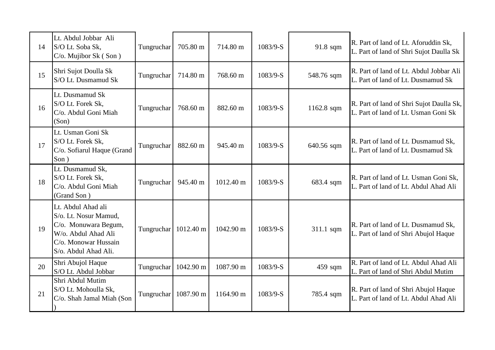| 14 | Lt. Abdul Jobbar Ali<br>S/O Lt. Soba Sk,<br>C/o. Mujibor Sk (Son)                                                                          | Tungruchar | 705.80 m  | 714.80 m  | 1083/9-S | 91.8 sqm   | R. Part of land of Lt. Aforuddin Sk,<br>L. Part of land of Shri Sujot Daulla Sk  |
|----|--------------------------------------------------------------------------------------------------------------------------------------------|------------|-----------|-----------|----------|------------|----------------------------------------------------------------------------------|
| 15 | Shri Sujot Doulla Sk<br>S/O Lt. Dusmamud Sk                                                                                                | Tungruchar | 714.80 m  | 768.60 m  | 1083/9-S | 548.76 sqm | R. Part of land of Lt. Abdul Jobbar Ali<br>L. Part of land of Lt. Dusmamud Sk    |
| 16 | Lt. Dusmamud Sk<br>S/O Lt. Forek Sk,<br>C/o. Abdul Goni Miah<br>(Son)                                                                      | Tungruchar | 768.60 m  | 882.60 m  | 1083/9-S | 1162.8 sqm | R. Part of land of Shri Sujot Daulla Sk,<br>L. Part of land of Lt. Usman Goni Sk |
| 17 | Lt. Usman Goni Sk<br>S/O Lt. Forek Sk,<br>C/o. Sofiarul Haque (Grand<br>Son)                                                               | Tungruchar | 882.60 m  | 945.40 m  | 1083/9-S | 640.56 sqm | R. Part of land of Lt. Dusmamud Sk,<br>L. Part of land of Lt. Dusmamud Sk        |
| 18 | Lt. Dusmamud Sk,<br>S/O Lt. Forek Sk,<br>C/o. Abdul Goni Miah<br>(Grand Son)                                                               | Tungruchar | 945.40 m  | 1012.40 m | 1083/9-S | 683.4 sqm  | R. Part of land of Lt. Usman Goni Sk,<br>L. Part of land of Lt. Abdul Ahad Ali   |
| 19 | Lt. Abdul Ahad ali<br>S/o. Lt. Nosur Mamud,<br>C/o. Monuwara Begum,<br>W/o. Abdul Ahad Ali<br>C/o. Monowar Hussain<br>S/o. Abdul Ahad Ali. | Tungruchar | 1012.40 m | 1042.90 m | 1083/9-S | 311.1 sqm  | R. Part of land of Lt. Dusmamud Sk,<br>L. Part of land of Shri Abujol Haque      |
| 20 | Shri Abujol Haque<br>S/O Lt. Abdul Jobbar                                                                                                  | Tungruchar | 1042.90 m | 1087.90 m | 1083/9-S | 459 sqm    | R. Part of land of Lt. Abdul Ahad Ali<br>L. Part of land of Shri Abdul Mutim     |
| 21 | Shri Abdul Mutim<br>S/O Lt. Mohoulla Sk,<br>C/o. Shah Jamal Miah (Son                                                                      | Tungruchar | 1087.90 m | 1164.90 m | 1083/9-S | 785.4 sqm  | R. Part of land of Shri Abujol Haque<br>L. Part of land of Lt. Abdul Ahad Ali    |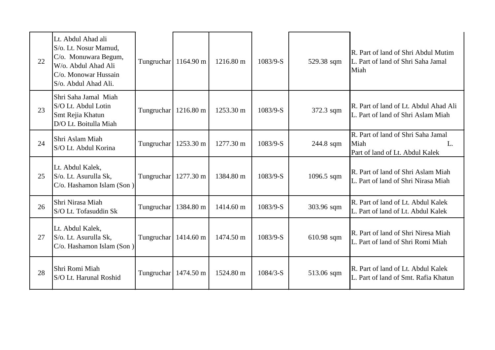| 22 | Lt. Abdul Ahad ali<br>S/o. Lt. Nosur Mamud,<br>C/o. Monuwara Begum,<br>W/o. Abdul Ahad Ali<br>C/o. Monowar Hussain<br>S/o. Abdul Ahad Ali. | Tungruchar             | $1164.90 \text{ m}$ | 1216.80 m | 1083/9-S   | 529.38 sqm   | R. Part of land of Shri Abdul Mutim<br>L. Part of land of Shri Saha Jamal<br>Miah   |
|----|--------------------------------------------------------------------------------------------------------------------------------------------|------------------------|---------------------|-----------|------------|--------------|-------------------------------------------------------------------------------------|
| 23 | Shri Saha Jamal Miah<br>S/O Lt. Abdul Lotin<br>Smt Rejia Khatun<br>D/O Lt. Boitulla Miah                                                   | Tungruchar             | 1216.80 m           | 1253.30 m | $1083/9-S$ | 372.3 sqm    | R. Part of land of Lt. Abdul Ahad Ali<br>L. Part of land of Shri Aslam Miah         |
| 24 | Shri Aslam Miah<br>S/O Lt. Abdul Korina                                                                                                    | Tungruchar             | 1253.30 m           | 1277.30 m | 1083/9-S   | 244.8 sqm    | R. Part of land of Shri Saha Jamal<br>Miah<br>L.<br>Part of land of Lt. Abdul Kalek |
| 25 | Lt. Abdul Kalek,<br>S/o. Lt. Asurulla Sk,<br>C/o. Hashamon Islam (Son)                                                                     | Tungruchar             | 1277.30 m           | 1384.80 m | 1083/9-S   | $1096.5$ sqm | R. Part of land of Shri Aslam Miah<br>L. Part of land of Shri Nirasa Miah           |
| 26 | Shri Nirasa Miah<br>S/O Lt. Tofasuddin Sk                                                                                                  | Tungruchar             | 1384.80 m           | 1414.60 m | $1083/9-S$ | 303.96 sqm   | R. Part of land of Lt. Abdul Kalek<br>L. Part of land of Lt. Abdul Kalek            |
| 27 | Lt. Abdul Kalek,<br>S/o. Lt. Asurulla Sk,<br>C/o. Hashamon Islam (Son)                                                                     | Tungruchar             | 1414.60 m           | 1474.50 m | 1083/9-S   | 610.98 sqm   | R. Part of land of Shri Niresa Miah<br>L. Part of land of Shri Romi Miah            |
| 28 | Shri Romi Miah<br>S/O Lt. Harunal Roshid                                                                                                   | Tungruchar   1474.50 m |                     | 1524.80 m | $1084/3-S$ | 513.06 sqm   | R. Part of land of Lt. Abdul Kalek<br>L. Part of land of Smt. Rafia Khatun          |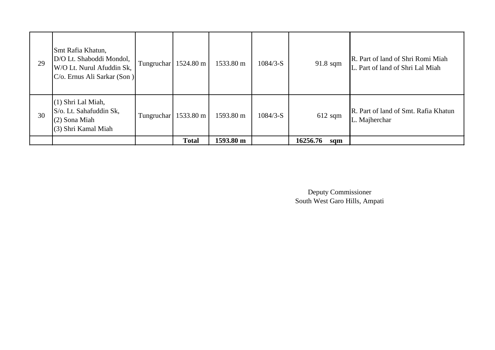| 29 | Smt Rafia Khatun,<br>D/O Lt. Shaboddi Mondol,<br>W/O Lt. Nurul Afuddin Sk,<br>C/o. Ernus Ali Sarkar (Son) | Tungruchar | 1524.80 m    | 1533.80 m | $1084/3-S$ | $91.8$ sqm      | R. Part of land of Shri Romi Miah<br>L. Part of land of Shri Lal Miah |
|----|-----------------------------------------------------------------------------------------------------------|------------|--------------|-----------|------------|-----------------|-----------------------------------------------------------------------|
| 30 | $(1)$ Shri Lal Miah,<br>S/o. Lt. Sahafuddin Sk,<br>$(2)$ Sona Miah<br>$(3)$ Shri Kamal Miah               | Tungruchar | 1533.80 m    | 1593.80 m | $1084/3-S$ | $612$ sqm       | R. Part of land of Smt. Rafia Khatun<br>L. Majherchar                 |
|    |                                                                                                           |            | <b>Total</b> | 1593.80 m |            | 16256.76<br>sqm |                                                                       |

Deputy Commissioner South West Garo Hills, Ampati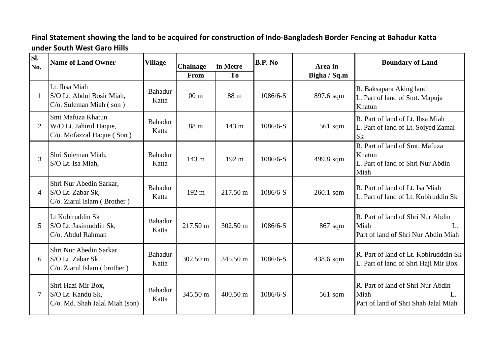## **Final Statement showing the land to be acquired for construction of Indo-Bangladesh Border Fencing at Bahadur Katta under South West Garo Hills**

| SI.<br>No.     | <b>Name of Land Owner</b>                                                      | <b>Village</b>          | <b>Chainage</b><br>From | in Metre<br>T <sub>0</sub> | <b>B.P.</b> No | Area in<br>Bigha / Sq.m | <b>Boundary of Land</b>                                                                          |
|----------------|--------------------------------------------------------------------------------|-------------------------|-------------------------|----------------------------|----------------|-------------------------|--------------------------------------------------------------------------------------------------|
| 1              | Lt. Ihsa Miah<br>S/O Lt. Abdul Bosir Miah,<br>$C$ /o. Suleman Miah $($ son $)$ | <b>Bahadur</b><br>Katta | 00 <sub>m</sub>         | 88 m                       | $1086/6-S$     | 897.6 sqm               | R. Baksapara Aking land<br>L. Part of land of Smt. Mapuja<br>Khatun                              |
| 2              | Smt Mafuza Khatun<br>W/O Lt. Jahirul Haque,<br>C/o. Mofazzal Haque (Son)       | <b>Bahadur</b><br>Katta | 88 m                    | 143 m                      | $1086/6-S$     | $561$ sqm               | R. Part of land of Lt. Ihsa Miah<br>L. Part of land of Lt. Soiyed Zamal<br><b>Sk</b>             |
| 3              | Shri Suleman Miah,<br>S/O Lt. Isa Miah,                                        | <b>Bahadur</b><br>Katta | 143 m                   | $192 \text{ m}$            | $1086/6-S$     | 499.8 sqm               | R. Part of land of Smt. Mafuza<br>Khatun<br>L. Part of land of Shri Nur Abdin<br>Miah            |
| $\overline{4}$ | Shri Nur Abedin Sarkar,<br>S/O Lt. Zabar Sk,<br>C/o. Ziarul Islam (Brother)    | <b>Bahadur</b><br>Katta | 192 m                   | 217.50 m                   | 1086/6-S       | $260.1$ sqm             | R. Part of land of Lt. Isa Miah<br>L. Part of land of Lt. Kobiruddin Sk                          |
| 5              | Lt Kobiruddin Sk<br>S/O Lt. Jasimuddin Sk,<br>C/o. Abdul Rahman                | <b>Bahadur</b><br>Katta | 217.50 m                | 302.50 m                   | $1086/6-S$     | 867 sqm                 | R. Part of land of Shri Nur Abdin<br>Miah<br>$\mathbf{L}$<br>Part of land of Shri Nur Abdin Miah |
| 6              | Shri Nur Abedin Sarkar<br>S/O Lt. Zabar Sk,<br>$C$ /o. Ziarul Islam (brother)  | <b>Bahadur</b><br>Katta | 302.50 m                | 345.50 m                   | $1086/6-S$     | 438.6 sqm               | R. Part of land of Lt. Kobirudddin Sk<br>L. Part of land of Shri Haji Mir Box                    |
| $\tau$         | Shri Hazi Mir Box,<br>S/O Lt. Kandu Sk,<br>C/o. Md. Shah Jalal Miah (son)      | Bahadur<br>Katta        | 345.50 m                | 400.50 m                   | $1086/6-S$     | 561 sqm                 | R. Part of land of Shri Nur Abdin<br>Miah<br>Part of land of Shri Shah Jalal Miah                |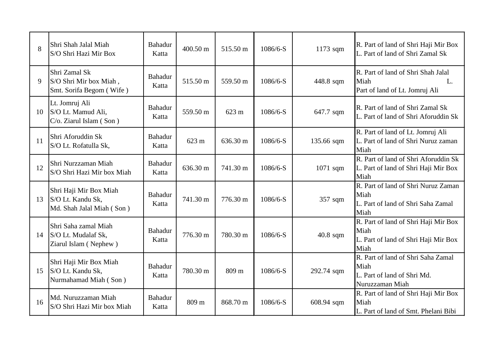| 8  | Shri Shah Jalal Miah<br>S/O Shri Hazi Mir Box                            | <b>Bahadur</b><br>Katta | 400.50 m | 515.50 m | $1086/6-S$ | $1173$ sqm | R. Part of land of Shri Haji Mir Box<br>L. Part of land of Shri Zamal Sk                     |
|----|--------------------------------------------------------------------------|-------------------------|----------|----------|------------|------------|----------------------------------------------------------------------------------------------|
| 9  | Shri Zamal Sk<br>S/O Shri Mir box Miah,<br>Smt. Sorifa Begom (Wife)      | <b>Bahadur</b><br>Katta | 515.50 m | 559.50 m | $1086/6-S$ | 448.8 sqm  | R. Part of land of Shri Shah Jalal<br>Miah<br>L.<br>Part of land of Lt. Jomruj Ali           |
| 10 | Lt. Jomruj Ali<br>S/O Lt. Mamud Ali,<br>C/o. Ziarul Islam (Son)          | Bahadur<br>Katta        | 559.50 m | 623 m    | $1086/6-S$ | 647.7 sqm  | R. Part of land of Shri Zamal Sk<br>L. Part of land of Shri Aforuddin Sk                     |
| 11 | Shri Aforuddin Sk<br>S/O Lt. Rofatulla Sk,                               | <b>Bahadur</b><br>Katta | 623 m    | 636.30 m | 1086/6-S   | 135.66 sqm | R. Part of land of Lt. Jomruj Ali<br>L. Part of land of Shri Nuruz zaman<br>Miah             |
| 12 | Shri Nurzzaman Miah<br>S/O Shri Hazi Mir box Miah                        | Bahadur<br>Katta        | 636.30 m | 741.30 m | 1086/6-S   | $1071$ sqm | R. Part of land of Shri Aforuddin Sk<br>L. Part of land of Shri Haji Mir Box<br>Miah         |
| 13 | Shri Haji Mir Box Miah<br>S/O Lt. Kandu Sk,<br>Md. Shah Jalal Miah (Son) | <b>Bahadur</b><br>Katta | 741.30 m | 776.30 m | 1086/6-S   | 357 sqm    | R. Part of land of Shri Nuruz Zaman<br>Miah<br>L. Part of land of Shri Saha Zamal<br>Miah    |
| 14 | Shri Saha zamal Miah<br>S/O Lt. Mudalaf Sk,<br>Ziarul Islam (Nephew)     | Bahadur<br>Katta        | 776.30 m | 780.30 m | $1086/6-S$ | $40.8$ sqm | R. Part of land of Shri Haji Mir Box<br>Miah<br>L. Part of land of Shri Haji Mir Box<br>Miah |
| 15 | Shri Haji Mir Box Miah<br>S/O Lt. Kandu Sk,<br>Nurmahamad Miah (Son)     | Bahadur<br>Katta        | 780.30 m | 809 m    | 1086/6-S   | 292.74 sqm | R. Part of land of Shri Saha Zamal<br>Miah<br>L. Part of land of Shri Md.<br>Nuruzzaman Miah |
| 16 | Md. Nuruzzaman Miah<br>S/O Shri Hazi Mir box Miah                        | <b>Bahadur</b><br>Katta | 809 m    | 868.70 m | $1086/6-S$ | 608.94 sqm | R. Part of land of Shri Haji Mir Box<br>Miah<br>L. Part of land of Smt. Phelani Bibi         |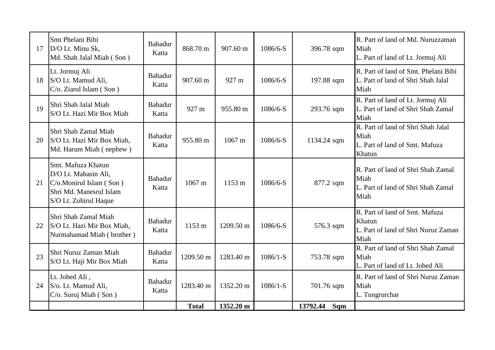| 17 | Smt Phelani Bibi<br>D/O Lt. Minu Sk,<br>Md. Shah Jalal Miah (Son)                                                         | <b>Bahadur</b><br>Katta | 868.70 m         | 907.60 m         | 1086/6-S   | 396.78 sqm      | R. Part of land of Md. Nuruzzaman<br>Miah<br>L. Part of land of Lt. Jormuj Ali           |
|----|---------------------------------------------------------------------------------------------------------------------------|-------------------------|------------------|------------------|------------|-----------------|------------------------------------------------------------------------------------------|
| 18 | Lt. Jormuj Ali<br>S/O Lt. Mamud Ali,<br>C/o. Ziarul Islam (Son)                                                           | <b>Bahadur</b><br>Katta | 907.60 m         | 927 m            | $1086/6-S$ | 197.88 sqm      | R. Part of land of Smt. Phelani Bibi<br>L. Part of land of Shri Shah Jalal<br>Miah       |
| 19 | Shri Shah Jalal Miah<br>S/O Lt. Hazi Mir Box Miah                                                                         | <b>Bahadur</b><br>Katta | 927 m            | 955.80 m         | $1086/6-S$ | 293.76 sqm      | R. Part of land of Lt. Jormuj Ali<br>L. Part of land of Shri Shah Zamal<br>Miah          |
| 20 | Shri Shah Zamal Miah<br>S/O Lt. Hazi Mir Box Miah,<br>Md. Harum Miah (nephew)                                             | <b>Bahadur</b><br>Katta | 955.80 m         | 1067 m           | 1086/6-S   | 1134.24 sqm     | R. Part of land of Shri Shah Jalal<br>Miah<br>L. Part of land of Smt. Mafuza<br>Khatun   |
| 21 | Smt. Mafuza Khatun<br>D/O Lt. Mahasin Ali,<br>C/o.Monirul Islam (Son)<br>Shri Md. Manesrul Islam<br>S/O Lt. Zohirul Haque | <b>Bahadur</b><br>Katta | $1067 \text{ m}$ | $1153 \text{ m}$ | 1086/6-S   | 877.2 sqm       | R. Part of land of Shri Shah Zamal<br>Miah<br>L. Part of land of Shri Shah Zamal<br>Miah |
| 22 | Shri Shah Zamal Miah<br>S/O Lt. Hazi Mir Box Miah,<br>Nurmahamad Miah (brother)                                           | <b>Bahadur</b><br>Katta | 1153 m           | 1209.50 m        | 1086/6-S   | 576.3 sqm       | R. Part of land of Smt. Mafuza<br>Khatun<br>L. Part of land of Shri Nuruz Zaman<br>Miah  |
| 23 | Shri Nuruz Zaman Miah<br>S/O Lt. Haji Mir Box Miah                                                                        | <b>Bahadur</b><br>Katta | 1209.50 m        | 1283.40 m        | $1086/1-S$ | 753.78 sqm      | R. Part of land of Shri Shah Zamal<br>Miah<br>L. Part of land of Lt. Jobed Ali           |
| 24 | Lt. Jobed Ali,<br>S/o. Lt. Mamud Ali,<br>C/o. Suruj Miah (Son)                                                            | <b>Bahadur</b><br>Katta | 1283.40 m        | 1352.20 m        | $1086/1-S$ | 701.76 sqm      | R. Part of land of Shri Nuruz Zaman<br>Miah<br>L. Tungrurchar                            |
|    |                                                                                                                           |                         | <b>Total</b>     | 1352.20 m        |            | 13792.44<br>Sqm |                                                                                          |